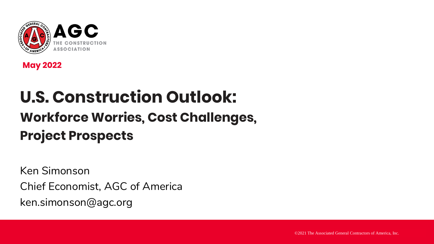

**May 2022**

# **U.S. Construction Outlook: Workforce Worries, Cost Challenges,**

## **Project Prospects**

Ken Simonson Chief Economist, AGC of America ken.simonson@agc.org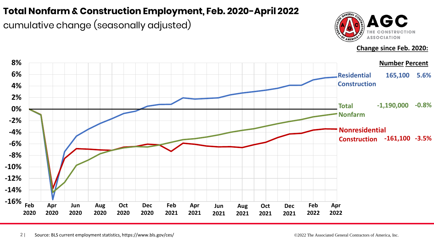#### **Total Nonfarm & Construction Employment, Feb. 2020-April 2022**

cumulative change (seasonally adjusted)



**Change since Feb. 2020:**

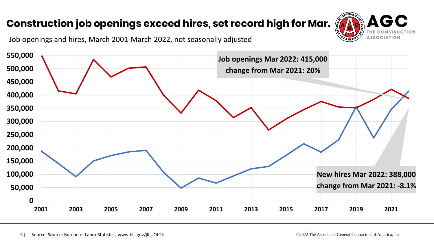### **Construction job openings exceed hires, set record high for Mar.**



Job openings and hires, March 2001-March 2022, not seasonally adjusted

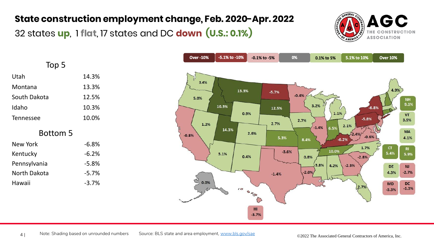#### **State construction employment change, Feb. 2020-Apr. 2022**

32 states **up**, 1 **flat**, 17 states and DC **down (U.S.: 0.1%)** 



| Top 5            |          |  |  |  |
|------------------|----------|--|--|--|
| Utah             | 14.3%    |  |  |  |
| Montana          | 13.3%    |  |  |  |
| South Dakota     | 12.5%    |  |  |  |
| Idaho            | 10.3%    |  |  |  |
| <b>Tennessee</b> | 10.0%    |  |  |  |
| <b>Bottom 5</b>  |          |  |  |  |
| New York         | $-6.8%$  |  |  |  |
| Kentucky         | $-6.2%$  |  |  |  |
| Pennsylvania     | -5.8%    |  |  |  |
| North Dakota     | $-5.7\%$ |  |  |  |
| Hawaii           | $-3.7%$  |  |  |  |

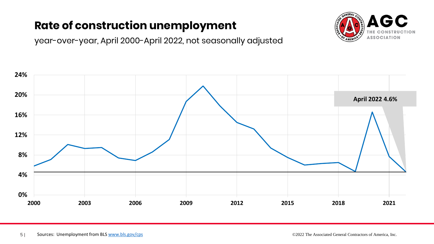## **Rate of construction unemployment**

year-over-year, April 2000-April 2022, not seasonally adjusted



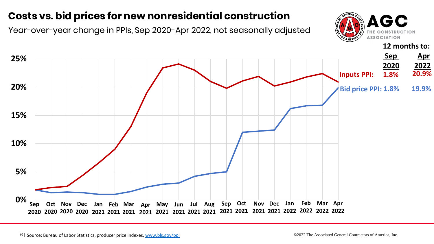## **Costs vs. bid prices for new nonresidential construction**

Year-over-year change in PPIs, Sep 2020-Apr 2022, not seasonally adjusted



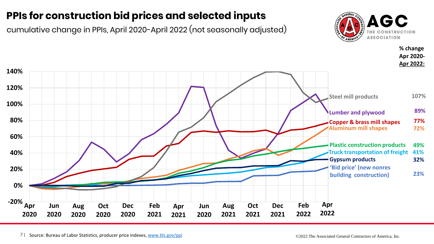### **PPIs for construction bid prices and selected inputs**

cumulative change in PPIs, April 2020-April 2022 (not seasonally adjusted)



**% change**

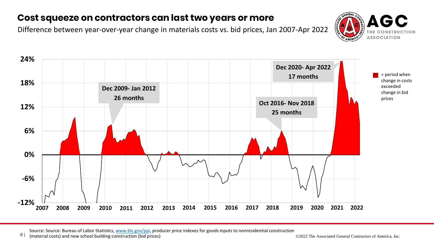#### **Cost squeeze on contractors can last two years or more**

Difference between year-over-year change in materials costs vs. bid prices, Jan 2007-Apr 2022





Source: Source: Bureau of Labor Statistics, [www.bls.gov/ppi,](http://www.bls.gov/ppi) producer price indexes for goods inputs to nonresidential construction

8 | (material costs) and new school building construction (bid prices) **Construction (bid prices)** COL Construction (bid prices) COL Construction (bid prices) **COL Construction (bid prices**) COL Construction (bid prices) C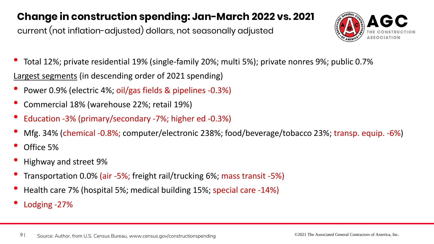### **Change in construction spending: Jan-March 2022 vs. 2021**

current (not inflation-adjusted) dollars, not seasonally adjusted



- Total 12%; private residential 19% (single-family 20%; multi 5%); private nonres 9%; public 0.7% Largest segments (in descending order of 2021 spending)
- Power 0.9% (electric 4%; oil/gas fields & pipelines -0.3%)
- Commercial 18% (warehouse 22%; retail 19%)
- Education -3% (primary/secondary -7%; higher ed -0.3%)
- Mfg. 34% (chemical -0.8%; computer/electronic 238%; food/beverage/tobacco 23%; transp. equip. -6%)
- Office 5%
- Highway and street 9%
- Transportation 0.0% (air -5%; freight rail/trucking 6%; mass transit -5%)
- Health care 7% (hospital 5%; medical building 15%; special care -14%)
- Lodging -27%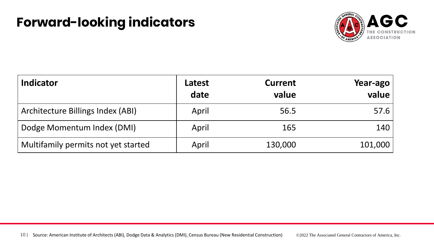## **Forward-looking indicators**



| <b>Indicator</b>                    | Latest<br>date | <b>Current</b><br>value | Year-ago<br>value |
|-------------------------------------|----------------|-------------------------|-------------------|
| Architecture Billings Index (ABI)   | April          | 56.5                    | 57.6              |
| Dodge Momentum Index (DMI)          | April          | 165                     | 140               |
| Multifamily permits not yet started | April          | 130,000                 | 101,000           |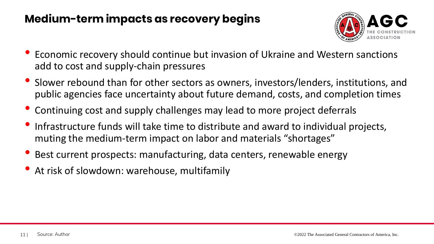## **Medium-term impacts as recovery begins**



- Economic recovery should continue but invasion of Ukraine and Western sanctions add to cost and supply-chain pressures
- Slower rebound than for other sectors as owners, investors/lenders, institutions, and public agencies face uncertainty about future demand, costs, and completion times
- Continuing cost and supply challenges may lead to more project deferrals
- Infrastructure funds will take time to distribute and award to individual projects, muting the medium-term impact on labor and materials "shortages"
- Best current prospects: manufacturing, data centers, renewable energy
- At risk of slowdown: warehouse, multifamily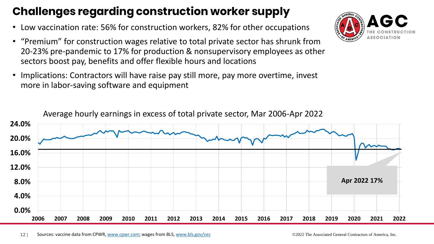## **Challenges regarding construction worker supply**

- Low vaccination rate: 56% for construction workers, 82% for other occupations
- "Premium" for construction wages relative to total private sector has shrunk from 20-23% pre-pandemic to 17% for production & nonsupervisory employees as other sectors boost pay, benefits and offer flexible hours and locations
- Implications: Contractors will have raise pay still more, pay more overtime, invest more in labor-saving software and equipment



12 | Sources: vaccine data from CPWR, [www.cpwr.com](http://www.cpwr.com/); wages from BLS, [www.bls.gov/ces](http://www.bls.gov/ces) ©2022 The Associated General Contractors of America, Inc.

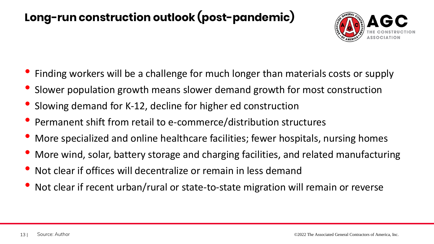## **Long-run construction outlook (post-pandemic)**



- Finding workers will be a challenge for much longer than materials costs or supply
- Slower population growth means slower demand growth for most construction
- Slowing demand for K-12, decline for higher ed construction
- Permanent shift from retail to e-commerce/distribution structures
- More specialized and online healthcare facilities; fewer hospitals, nursing homes
- More wind, solar, battery storage and charging facilities, and related manufacturing
- Not clear if offices will decentralize or remain in less demand
- Not clear if recent urban/rural or state-to-state migration will remain or reverse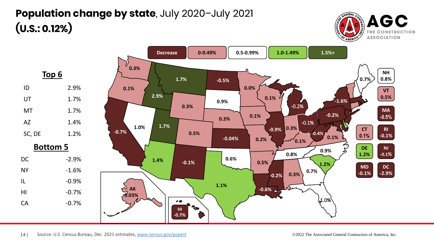## **Population change by state**, July 2020–July 2021 **(U.S.: 0.12%)**